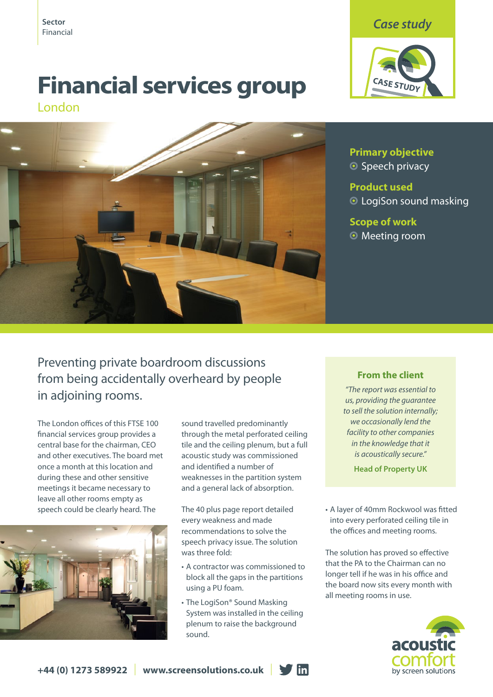

# **Financial services group**

London



Sector **Case study**<br>Financial **Case Study** 



**Primary objective** ● Speech privacy

**Product used O** LogiSon sound masking

**Scope of work O** Meeting room

## Preventing private boardroom discussions from being accidentally overheard by people in adjoining rooms.

The London offices of this FTSE 100 financial services group provides a central base for the chairman, CEO and other executives. The board met once a month at this location and during these and other sensitive meetings it became necessary to leave all other rooms empty as speech could be clearly heard. The



sound travelled predominantly through the metal perforated ceiling tile and the ceiling plenum, but a full acoustic study was commissioned and identified a number of weaknesses in the partition system and a general lack of absorption.

The 40 plus page report detailed every weakness and made recommendations to solve the speech privacy issue. The solution was three fold:

- • A contractor was commissioned to block all the gaps in the partitions using a PU foam.
- The LogiSon® Sound Masking System was installed in the ceiling plenum to raise the background sound.

### **From the client**

*"The report was essential to us, providing the guarantee to sell the solution internally; we occasionally lend the facility to other companies in the knowledge that it is acoustically secure."*

**Head of Property UK**

• A layer of 40mm Rockwool was fitted into every perforated ceiling tile in the offices and meeting rooms.

The solution has proved so effective that the PA to the Chairman can no longer tell if he was in his office and the board now sits every month with all meeting rooms in use.